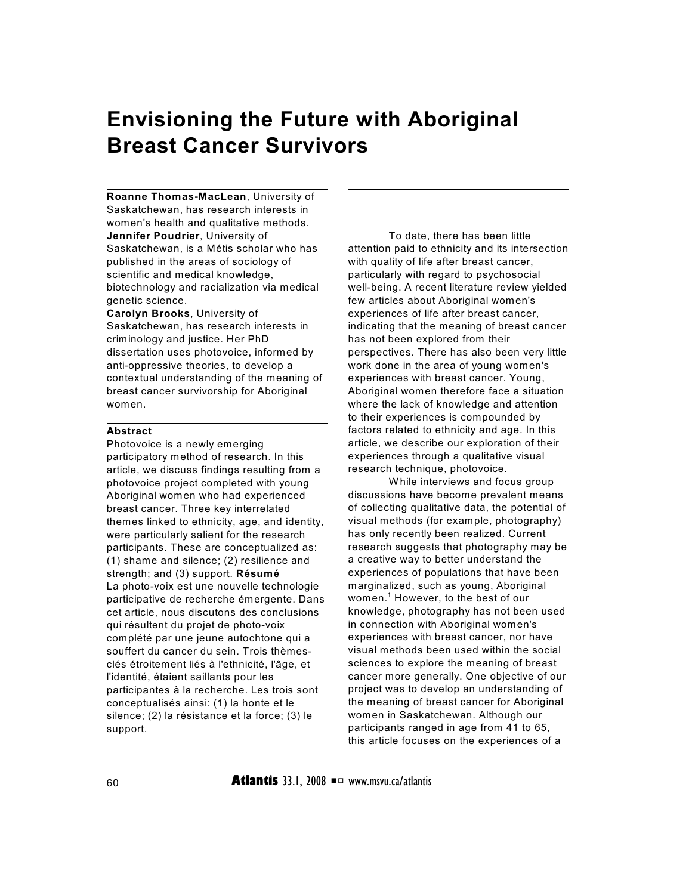# **Envisioning the Future with Aboriginal Breast Cancer Survivors**

**Roanne Thomas-MacLean**, University of Saskatchewan, has research interests in women's health and qualitative methods. **Jennifer Poudrier**, University of Saskatchewan, is a Métis scholar who has published in the areas of sociology of scientific and medical knowledge, biotechnology and racialization via medical genetic science.

**Carolyn Brooks**, University of Saskatchewan, has research interests in criminology and justice. Her PhD dissertation uses photovoice, informed by anti-oppressive theories, to develop a contextual understanding of the meaning of breast cancer survivorship for Aboriginal women.

## **Abstract**

Photovoice is a newly emerging participatory method of research. In this article, we discuss findings resulting from a photovoice project completed with young Aboriginal women who had experienced breast cancer. Three key interrelated themes linked to ethnicity, age, and identity, were particularly salient for the research participants. These are conceptualized as: (1) shame and silence; (2) resilience and strength; and (3) support. **Résumé** La photo-voix est une nouvelle technologie participative de recherche émergente. Dans cet article, nous discutons des conclusions qui résultent du projet de photo-voix complété par une jeune autochtone qui a souffert du cancer du sein. Trois thèmesclés étroitement liés à l'ethnicité, l'âge, et l'identité, étaient saillants pour les participantes à la recherche. Les trois sont conceptualisés ainsi: (1) la honte et le silence; (2) la résistance et la force; (3) le support.

To date, there has been little attention paid to ethnicity and its intersection with quality of life after breast cancer, particularly with regard to psychosocial well-being. A recent literature review yielded few articles about Aboriginal women's experiences of life after breast cancer, indicating that the meaning of breast cancer has not been explored from their perspectives. There has also been very little work done in the area of young women's experiences with breast cancer. Young, Aboriginal women therefore face a situation where the lack of knowledge and attention to their experiences is compounded by factors related to ethnicity and age. In this article, we describe our exploration of their experiences through a qualitative visual research technique, photovoice.

W hile interviews and focus group discussions have become prevalent means of collecting qualitative data, the potential of visual methods (for example, photography) has only recently been realized. Current research suggests that photography may be a creative way to better understand the experiences of populations that have been marginalized, such as young, Aboriginal women.<sup>1</sup> However, to the best of our knowledge, photography has not been used in connection with Aboriginal women's experiences with breast cancer, nor have visual methods been used within the social sciences to explore the meaning of breast cancer more generally. One objective of our project was to develop an understanding of the meaning of breast cancer for Aboriginal women in Saskatchewan. Although our participants ranged in age from 41 to 65, this article focuses on the experiences of a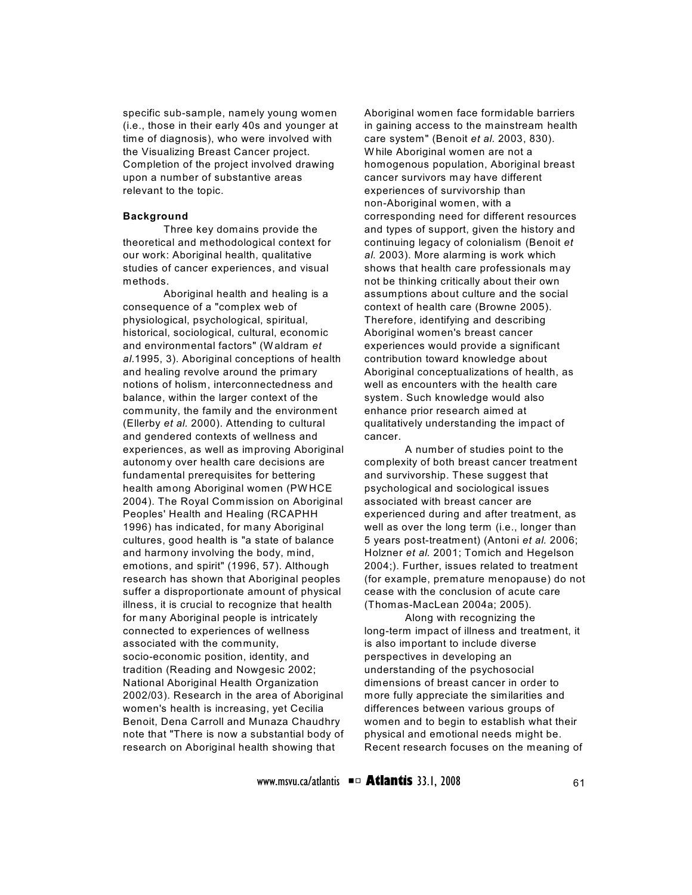specific sub-sample, namely young women (i.e., those in their early 40s and younger at time of diagnosis), who were involved with the Visualizing Breast Cancer project. Completion of the project involved drawing upon a number of substantive areas relevant to the topic.

#### **Background**

Three key domains provide the theoretical and methodological context for our work: Aboriginal health, qualitative studies of cancer experiences, and visual methods.

Aboriginal health and healing is a consequence of a "complex web of physiological, psychological, spiritual, historical, sociological, cultural, economic and environmental factors" (W aldram *et al*.1995, 3). Aboriginal conceptions of health and healing revolve around the primary notions of holism, interconnectedness and balance, within the larger context of the community, the family and the environment (Ellerby *et al.* 2000). Attending to cultural and gendered contexts of wellness and experiences, as well as improving Aboriginal autonomy over health care decisions are fundamental prerequisites for bettering health among Aboriginal women (PW HCE 2004). The Royal Commission on Aboriginal Peoples' Health and Healing (RCAPHH 1996) has indicated, for many Aboriginal cultures, good health is "a state of balance and harmony involving the body, mind, emotions, and spirit" (1996, 57). Although research has shown that Aboriginal peoples suffer a disproportionate amount of physical illness, it is crucial to recognize that health for many Aboriginal people is intricately connected to experiences of wellness associated with the community, socio-economic position, identity, and tradition (Reading and Nowgesic 2002; National Aboriginal Health Organization 2002/03). Research in the area of Aboriginal women's health is increasing, yet Cecilia Benoit, Dena Carroll and Munaza Chaudhry note that "There is now a substantial body of research on Aboriginal health showing that

Aboriginal women face formidable barriers in gaining access to the mainstream health care system" (Benoit *et al.* 2003, 830). W hile Aboriginal women are not a homogenous population, Aboriginal breast cancer survivors may have different experiences of survivorship than non-Aboriginal women, with a corresponding need for different resources and types of support, given the history and continuing legacy of colonialism (Benoit *et al.* 2003). More alarming is work which shows that health care professionals may not be thinking critically about their own assumptions about culture and the social context of health care (Browne 2005). Therefore, identifying and describing Aboriginal women's breast cancer experiences would provide a significant contribution toward knowledge about Aboriginal conceptualizations of health, as well as encounters with the health care system. Such knowledge would also enhance prior research aimed at qualitatively understanding the impact of cancer.

A number of studies point to the complexity of both breast cancer treatment and survivorship. These suggest that psychological and sociological issues associated with breast cancer are experienced during and after treatment, as well as over the long term (i.e., longer than 5 years post-treatment) (Antoni *et al.* 2006; Holzner *et al.* 2001; Tomich and Hegelson 2004;). Further, issues related to treatment (for example, premature menopause) do not cease with the conclusion of acute care (Thomas-MacLean 2004a; 2005).

Along with recognizing the long-term impact of illness and treatment, it is also important to include diverse perspectives in developing an understanding of the psychosocial dimensions of breast cancer in order to more fully appreciate the similarities and differences between various groups of women and to begin to establish what their physical and emotional needs might be. Recent research focuses on the meaning of

www.msvu.ca/atlantis **■□ Atlantis** 33.1, 2008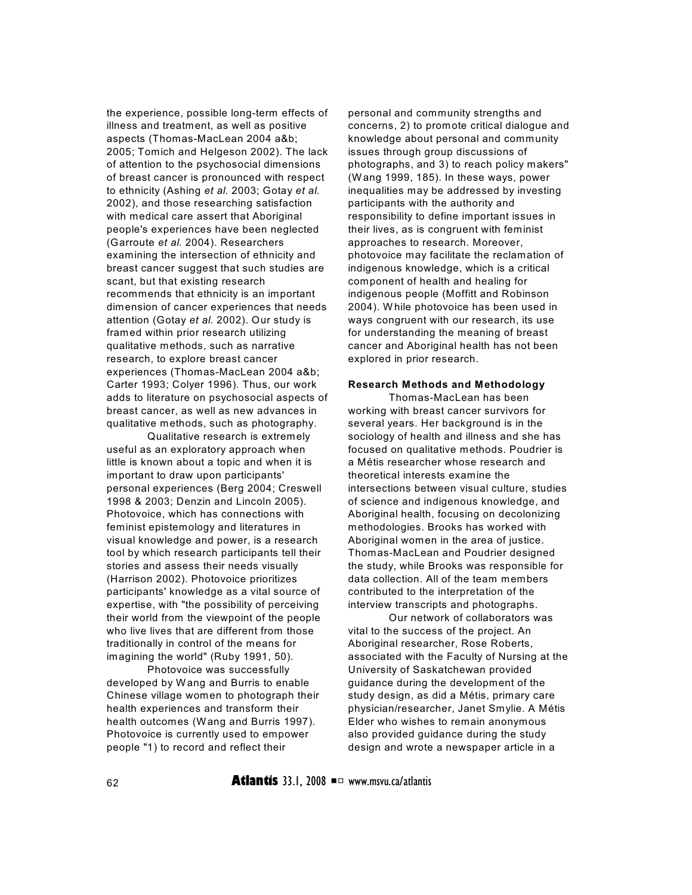the experience, possible long-term effects of illness and treatment, as well as positive aspects (Thomas-MacLean 2004 a&b; 2005; Tomich and Helgeson 2002). The lack of attention to the psychosocial dimensions of breast cancer is pronounced with respect to ethnicity (Ashing *et al.* 2003; Gotay *et al.* 2002), and those researching satisfaction with medical care assert that Aboriginal people's experiences have been neglected (Garroute *et al.* 2004). Researchers examining the intersection of ethnicity and breast cancer suggest that such studies are scant, but that existing research recommends that ethnicity is an important dimension of cancer experiences that needs attention (Gotay *et al.* 2002). Our study is framed within prior research utilizing qualitative methods, such as narrative research, to explore breast cancer experiences (Thomas-MacLean 2004 a&b; Carter 1993; Colyer 1996). Thus, our work adds to literature on psychosocial aspects of breast cancer, as well as new advances in qualitative methods, such as photography.

Qualitative research is extremely useful as an exploratory approach when little is known about a topic and when it is important to draw upon participants' personal experiences (Berg 2004; Creswell 1998 & 2003; Denzin and Lincoln 2005). Photovoice, which has connections with feminist epistemology and literatures in visual knowledge and power, is a research tool by which research participants tell their stories and assess their needs visually (Harrison 2002). Photovoice prioritizes participants' knowledge as a vital source of expertise, with "the possibility of perceiving their world from the viewpoint of the people who live lives that are different from those traditionally in control of the means for imagining the world" (Ruby 1991, 50).

Photovoice was successfully developed by W ang and Burris to enable Chinese village women to photograph their health experiences and transform their health outcomes (Wang and Burris 1997). Photovoice is currently used to empower people "1) to record and reflect their

personal and community strengths and concerns, 2) to promote critical dialogue and knowledge about personal and community issues through group discussions of photographs, and 3) to reach policy makers" (W ang 1999, 185). In these ways, power inequalities may be addressed by investing participants with the authority and responsibility to define important issues in their lives, as is congruent with feminist approaches to research. Moreover, photovoice may facilitate the reclamation of indigenous knowledge, which is a critical component of health and healing for indigenous people (Moffitt and Robinson 2004). W hile photovoice has been used in ways congruent with our research, its use for understanding the meaning of breast cancer and Aboriginal health has not been explored in prior research.

#### **Research Methods and Methodology**

Thomas-MacLean has been working with breast cancer survivors for several years. Her background is in the sociology of health and illness and she has focused on qualitative methods. Poudrier is a Métis researcher whose research and theoretical interests examine the intersections between visual culture, studies of science and indigenous knowledge, and Aboriginal health, focusing on decolonizing methodologies. Brooks has worked with Aboriginal women in the area of justice. Thomas-MacLean and Poudrier designed the study, while Brooks was responsible for data collection. All of the team members contributed to the interpretation of the interview transcripts and photographs.

Our network of collaborators was vital to the success of the project. An Aboriginal researcher, Rose Roberts, associated with the Faculty of Nursing at the University of Saskatchewan provided guidance during the development of the study design, as did a Métis, primary care physician/researcher, Janet Smylie. A Métis Elder who wishes to remain anonymous also provided guidance during the study design and wrote a newspaper article in a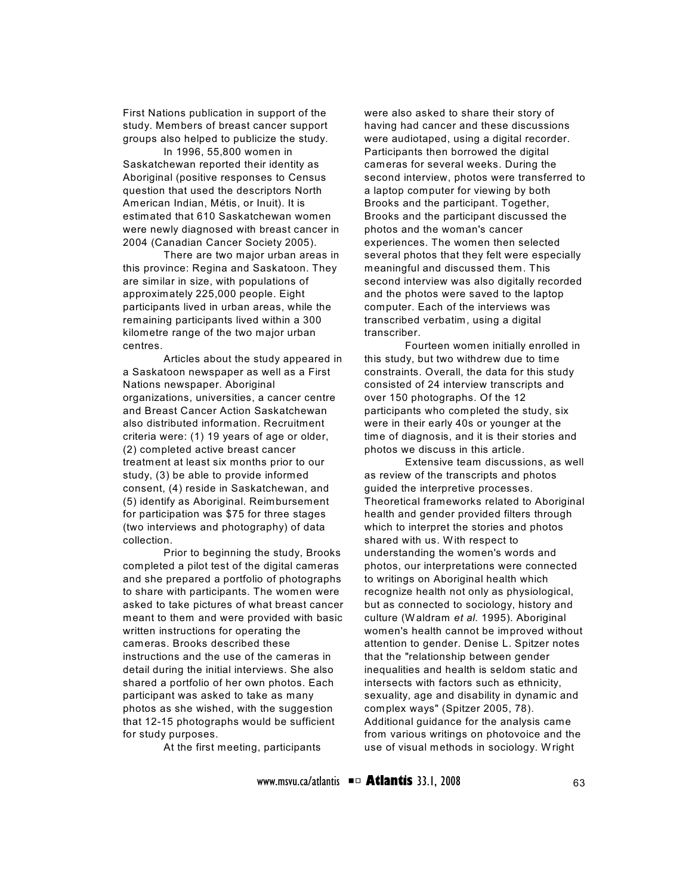First Nations publication in support of the study. Members of breast cancer support groups also helped to publicize the study.

In 1996, 55,800 women in Saskatchewan reported their identity as Aboriginal (positive responses to Census question that used the descriptors North American Indian, Métis, or Inuit). It is estimated that 610 Saskatchewan women were newly diagnosed with breast cancer in 2004 (Canadian Cancer Society 2005).

There are two major urban areas in this province: Regina and Saskatoon. They are similar in size, with populations of approximately 225,000 people. Eight participants lived in urban areas, while the remaining participants lived within a 300 kilometre range of the two major urban centres.

Articles about the study appeared in a Saskatoon newspaper as well as a First Nations newspaper. Aboriginal organizations, universities, a cancer centre and Breast Cancer Action Saskatchewan also distributed information. Recruitment criteria were: (1) 19 years of age or older, (2) completed active breast cancer treatment at least six months prior to our study, (3) be able to provide informed consent, (4) reside in Saskatchewan, and (5) identify as Aboriginal. Reimbursement for participation was \$75 for three stages (two interviews and photography) of data collection.

Prior to beginning the study, Brooks completed a pilot test of the digital cameras and she prepared a portfolio of photographs to share with participants. The women were asked to take pictures of what breast cancer meant to them and were provided with basic written instructions for operating the cameras. Brooks described these instructions and the use of the cameras in detail during the initial interviews. She also shared a portfolio of her own photos. Each participant was asked to take as many photos as she wished, with the suggestion that 12-15 photographs would be sufficient for study purposes.

At the first meeting, participants

were also asked to share their story of having had cancer and these discussions were audiotaped, using a digital recorder. Participants then borrowed the digital cameras for several weeks. During the second interview, photos were transferred to a laptop computer for viewing by both Brooks and the participant. Together, Brooks and the participant discussed the photos and the woman's cancer experiences. The women then selected several photos that they felt were especially meaningful and discussed them. This second interview was also digitally recorded and the photos were saved to the laptop computer. Each of the interviews was transcribed verbatim, using a digital transcriber.

Fourteen women initially enrolled in this study, but two withdrew due to time constraints. Overall, the data for this study consisted of 24 interview transcripts and over 150 photographs. Of the 12 participants who completed the study, six were in their early 40s or younger at the time of diagnosis, and it is their stories and photos we discuss in this article.

Extensive team discussions, as well as review of the transcripts and photos guided the interpretive processes. Theoretical frameworks related to Aboriginal health and gender provided filters through which to interpret the stories and photos shared with us. With respect to understanding the women's words and photos, our interpretations were connected to writings on Aboriginal health which recognize health not only as physiological, but as connected to sociology, history and culture (W aldram *et al.* 1995). Aboriginal women's health cannot be improved without attention to gender. Denise L. Spitzer notes that the "relationship between gender inequalities and health is seldom static and intersects with factors such as ethnicity, sexuality, age and disability in dynamic and complex ways" (Spitzer 2005, 78). Additional guidance for the analysis came from various writings on photovoice and the use of visual methods in sociology. W right

www.msvu.ca/atlantis  $\blacksquare$  **Atlantis** 33.1, 2008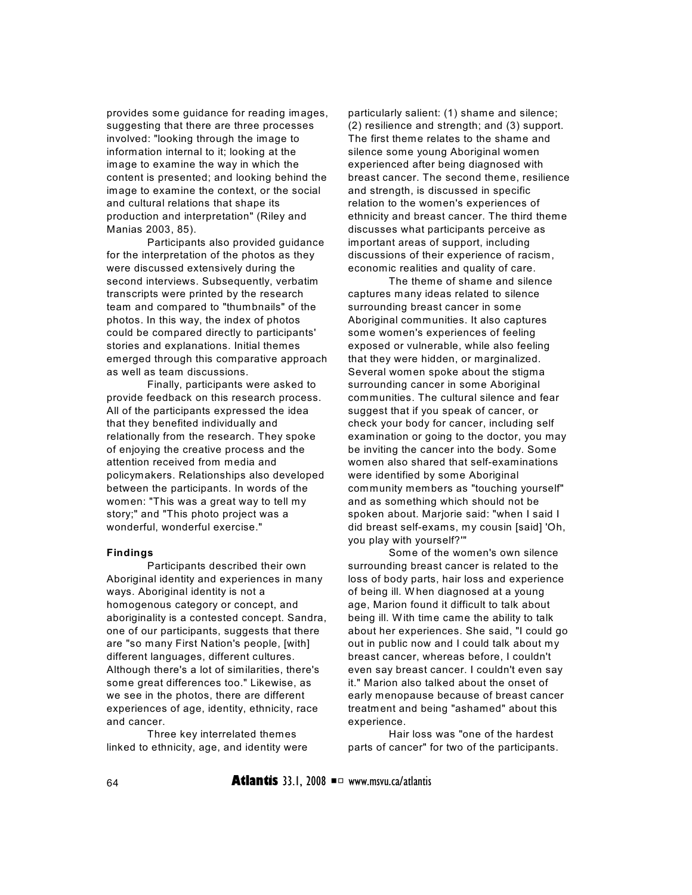provides some guidance for reading images, suggesting that there are three processes involved: "looking through the image to information internal to it; looking at the image to examine the way in which the content is presented; and looking behind the image to examine the context, or the social and cultural relations that shape its production and interpretation" (Riley and Manias 2003, 85).

Participants also provided guidance for the interpretation of the photos as they were discussed extensively during the second interviews. Subsequently, verbatim transcripts were printed by the research team and compared to "thumbnails" of the photos. In this way, the index of photos could be compared directly to participants' stories and explanations. Initial themes emerged through this comparative approach as well as team discussions.

Finally, participants were asked to provide feedback on this research process. All of the participants expressed the idea that they benefited individually and relationally from the research. They spoke of enjoying the creative process and the attention received from media and policymakers. Relationships also developed between the participants. In words of the women: "This was a great way to tell my story;" and "This photo project was a wonderful, wonderful exercise."

#### **Findings**

Participants described their own Aboriginal identity and experiences in many ways. Aboriginal identity is not a homogenous category or concept, and aboriginality is a contested concept. Sandra, one of our participants, suggests that there are "so many First Nation's people, [with] different languages, different cultures. Although there's a lot of similarities, there's some great differences too." Likewise, as we see in the photos, there are different experiences of age, identity, ethnicity, race and cancer.

Three key interrelated themes linked to ethnicity, age, and identity were particularly salient: (1) shame and silence; (2) resilience and strength; and (3) support. The first theme relates to the shame and silence some young Aboriginal women experienced after being diagnosed with breast cancer. The second theme, resilience and strength, is discussed in specific relation to the women's experiences of ethnicity and breast cancer. The third theme discusses what participants perceive as important areas of support, including discussions of their experience of racism, economic realities and quality of care.

The theme of shame and silence captures many ideas related to silence surrounding breast cancer in some Aboriginal communities. It also captures some women's experiences of feeling exposed or vulnerable, while also feeling that they were hidden, or marginalized. Several women spoke about the stigma surrounding cancer in some Aboriginal communities. The cultural silence and fear suggest that if you speak of cancer, or check your body for cancer, including self examination or going to the doctor, you may be inviting the cancer into the body. Some women also shared that self-examinations were identified by some Aboriginal community members as "touching yourself" and as something which should not be spoken about. Marjorie said: "when I said I did breast self-exams, my cousin [said] 'Oh, you play with yourself?'"

Some of the women's own silence surrounding breast cancer is related to the loss of body parts, hair loss and experience of being ill. W hen diagnosed at a young age, Marion found it difficult to talk about being ill. With time came the ability to talk about her experiences. She said, "I could go out in public now and I could talk about my breast cancer, whereas before, I couldn't even say breast cancer. I couldn't even say it." Marion also talked about the onset of early menopause because of breast cancer treatment and being "ashamed" about this experience.

Hair loss was "one of the hardest parts of cancer" for two of the participants.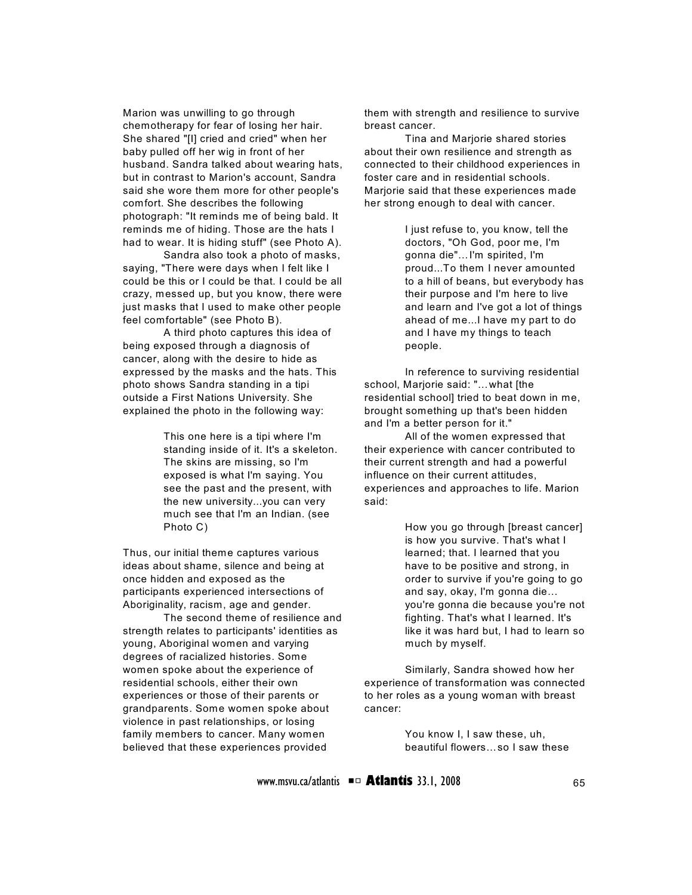Marion was unwilling to go through chemotherapy for fear of losing her hair. She shared "[I] cried and cried" when her baby pulled off her wig in front of her husband. Sandra talked about wearing hats, but in contrast to Marion's account, Sandra said she wore them more for other people's comfort. She describes the following photograph: "It reminds me of being bald. It reminds me of hiding. Those are the hats I had to wear. It is hiding stuff" (see Photo A).

Sandra also took a photo of masks, saying, "There were days when I felt like I could be this or I could be that. I could be all crazy, messed up, but you know, there were just masks that I used to make other people feel comfortable" (see Photo B).

A third photo captures this idea of being exposed through a diagnosis of cancer, along with the desire to hide as expressed by the masks and the hats. This photo shows Sandra standing in a tipi outside a First Nations University. She explained the photo in the following way:

> This one here is a tipi where I'm standing inside of it. It's a skeleton. The skins are missing, so I'm exposed is what I'm saying. You see the past and the present, with the new university...you can very much see that I'm an Indian. (see Photo C)

Thus, our initial theme captures various ideas about shame, silence and being at once hidden and exposed as the participants experienced intersections of Aboriginality, racism, age and gender.

The second theme of resilience and strength relates to participants' identities as young, Aboriginal women and varying degrees of racialized histories. Some women spoke about the experience of residential schools, either their own experiences or those of their parents or grandparents. Some women spoke about violence in past relationships, or losing family members to cancer. Many women believed that these experiences provided

them with strength and resilience to survive breast cancer.

Tina and Marjorie shared stories about their own resilience and strength as connected to their childhood experiences in foster care and in residential schools. Marjorie said that these experiences made her strong enough to deal with cancer.

> I just refuse to, you know, tell the doctors, "Oh God, poor me, I'm gonna die"…I'm spirited, I'm proud...To them I never amounted to a hill of beans, but everybody has their purpose and I'm here to live and learn and I've got a lot of things ahead of me...I have my part to do and I have my things to teach people.

In reference to surviving residential school, Marjorie said: "…what [the residential school] tried to beat down in me, brought something up that's been hidden and I'm a better person for it."

All of the women expressed that their experience with cancer contributed to their current strength and had a powerful influence on their current attitudes, experiences and approaches to life. Marion said:

> How you go through [breast cancer] is how you survive. That's what I learned; that. I learned that you have to be positive and strong, in order to survive if you're going to go and say, okay, I'm gonna die… you're gonna die because you're not fighting. That's what I learned. It's like it was hard but, I had to learn so much by myself.

Similarly, Sandra showed how her experience of transformation was connected to her roles as a young woman with breast cancer:

> You know I, I saw these, uh, beautiful flowers…so I saw these

www.msvu.ca/atlantis  $\blacksquare$  **Atlantis** 33.1, 2008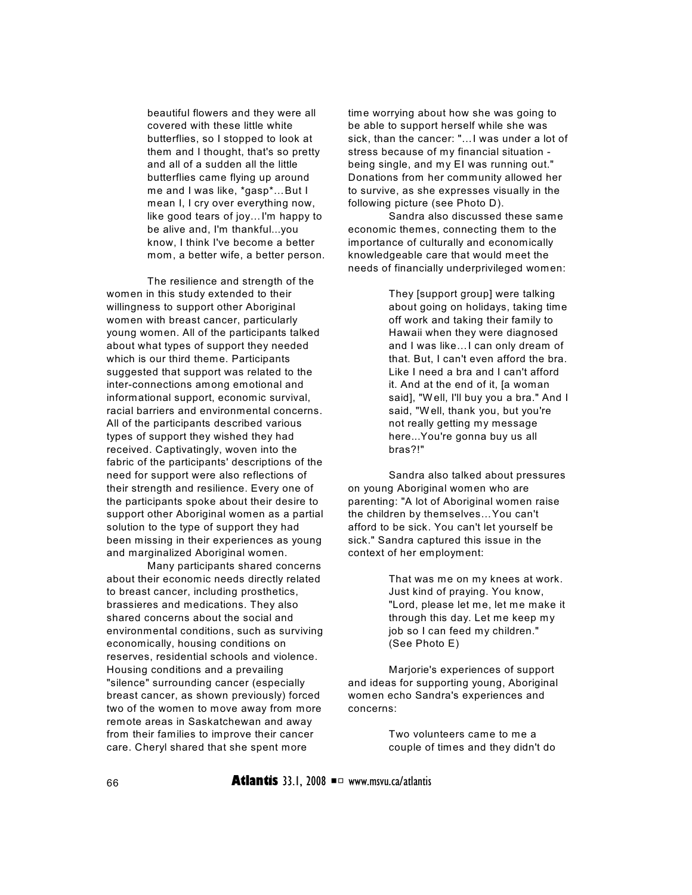beautiful flowers and they were all covered with these little white butterflies, so I stopped to look at them and I thought, that's so pretty and all of a sudden all the little butterflies came flying up around me and I was like, \*gasp\*…But I mean I, I cry over everything now, like good tears of joy…I'm happy to be alive and, I'm thankful...you know, I think I've become a better mom, a better wife, a better person.

The resilience and strength of the women in this study extended to their willingness to support other Aboriginal women with breast cancer, particularly young women. All of the participants talked about what types of support they needed which is our third theme. Participants suggested that support was related to the inter-connections among emotional and informational support, economic survival, racial barriers and environmental concerns. All of the participants described various types of support they wished they had received. Captivatingly, woven into the fabric of the participants' descriptions of the need for support were also reflections of their strength and resilience. Every one of the participants spoke about their desire to support other Aboriginal women as a partial solution to the type of support they had been missing in their experiences as young and marginalized Aboriginal women.

Many participants shared concerns about their economic needs directly related to breast cancer, including prosthetics, brassieres and medications. They also shared concerns about the social and environmental conditions, such as surviving economically, housing conditions on reserves, residential schools and violence. Housing conditions and a prevailing "silence" surrounding cancer (especially breast cancer, as shown previously) forced two of the women to move away from more remote areas in Saskatchewan and away from their families to improve their cancer care. Cheryl shared that she spent more

time worrying about how she was going to be able to support herself while she was sick, than the cancer: "…I was under a lot of stress because of my financial situation being single, and my EI was running out." Donations from her community allowed her to survive, as she expresses visually in the following picture (see Photo D).

Sandra also discussed these same economic themes, connecting them to the importance of culturally and economically knowledgeable care that would meet the needs of financially underprivileged women:

> They [support group] were talking about going on holidays, taking time off work and taking their family to Hawaii when they were diagnosed and I was like…I can only dream of that. But, I can't even afford the bra. Like I need a bra and I can't afford it. And at the end of it, [a woman said], "Well, I'll buy you a bra." And I said, "W ell, thank you, but you're not really getting my message here...You're gonna buy us all bras?!"

Sandra also talked about pressures on young Aboriginal women who are parenting: "A lot of Aboriginal women raise the children by themselves…You can't afford to be sick. You can't let yourself be sick." Sandra captured this issue in the context of her employment:

> That was me on my knees at work. Just kind of praying. You know, "Lord, please let me, let me make it through this day. Let me keep my job so I can feed my children." (See Photo E)

Marjorie's experiences of support and ideas for supporting young, Aboriginal women echo Sandra's experiences and concerns:

> Two volunteers came to me a couple of times and they didn't do

66 **Atlantis** 33.1, 2008 P www.msvu.ca/atlantis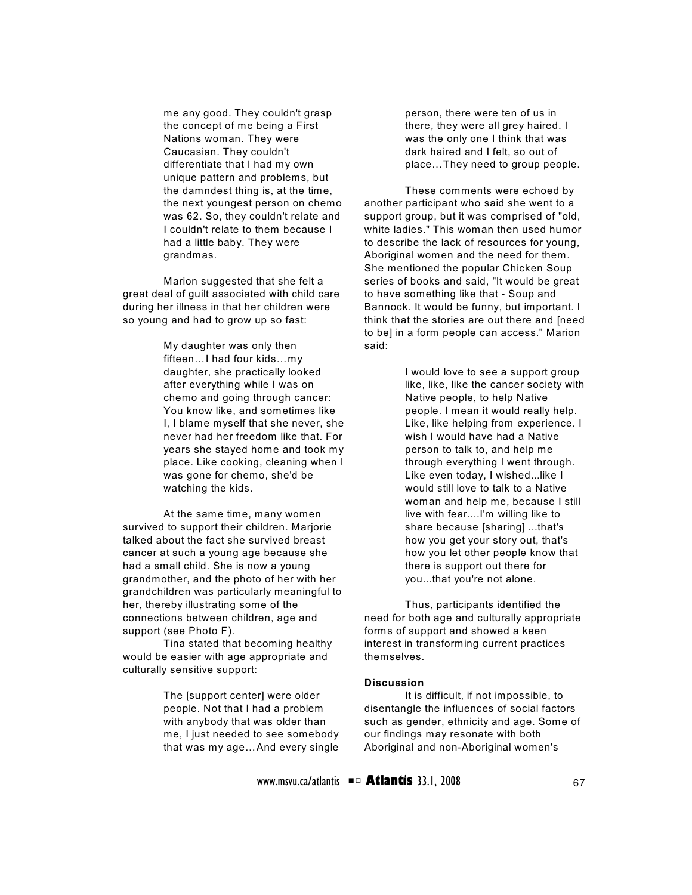me any good. They couldn't grasp the concept of me being a First Nations woman. They were Caucasian. They couldn't differentiate that I had my own unique pattern and problems, but the damndest thing is, at the time, the next youngest person on chemo was 62. So, they couldn't relate and I couldn't relate to them because I had a little baby. They were grandmas.

Marion suggested that she felt a great deal of guilt associated with child care during her illness in that her children were so young and had to grow up so fast:

> My daughter was only then fifteen…I had four kids…my daughter, she practically looked after everything while I was on chemo and going through cancer: You know like, and sometimes like I, I blame myself that she never, she never had her freedom like that. For years she stayed home and took my place. Like cooking, cleaning when I was gone for chemo, she'd be watching the kids.

At the same time, many women survived to support their children. Marjorie talked about the fact she survived breast cancer at such a young age because she had a small child. She is now a young grandmother, and the photo of her with her grandchildren was particularly meaningful to her, thereby illustrating some of the connections between children, age and support (see Photo F).

Tina stated that becoming healthy would be easier with age appropriate and culturally sensitive support:

> The [support center] were older people. Not that I had a problem with anybody that was older than me, I just needed to see somebody that was my age…And every single

person, there were ten of us in there, they were all grey haired. I was the only one I think that was dark haired and I felt, so out of place…They need to group people.

These comments were echoed by another participant who said she went to a support group, but it was comprised of "old, white ladies." This woman then used humor to describe the lack of resources for young, Aboriginal women and the need for them. She mentioned the popular Chicken Soup series of books and said, "It would be great to have something like that - Soup and Bannock. It would be funny, but important. I think that the stories are out there and [need to be] in a form people can access." Marion said:

> I would love to see a support group like, like, like the cancer society with Native people, to help Native people. I mean it would really help. Like, like helping from experience. I wish I would have had a Native person to talk to, and help me through everything I went through. Like even today, I wished...like I would still love to talk to a Native woman and help me, because I still live with fear....I'm willing like to share because [sharing] ...that's how you get your story out, that's how you let other people know that there is support out there for you...that you're not alone.

Thus, participants identified the need for both age and culturally appropriate forms of support and showed a keen interest in transforming current practices themselves.

#### **Discussion**

It is difficult, if not impossible, to disentangle the influences of social factors such as gender, ethnicity and age. Some of our findings may resonate with both Aboriginal and non-Aboriginal women's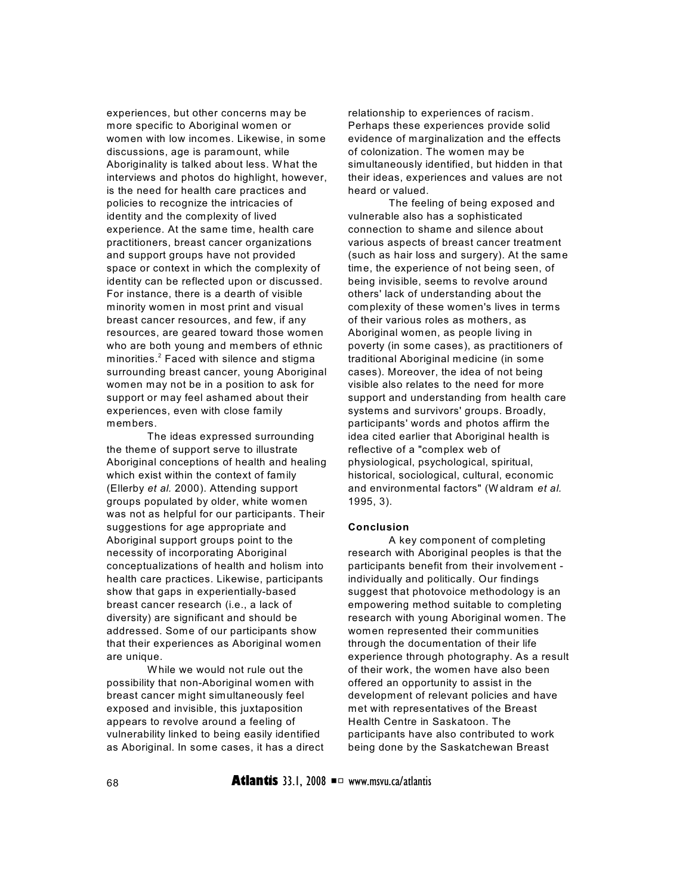experiences, but other concerns may be more specific to Aboriginal women or women with low incomes. Likewise, in some discussions, age is paramount, while Aboriginality is talked about less. W hat the interviews and photos do highlight, however, is the need for health care practices and policies to recognize the intricacies of identity and the complexity of lived experience. At the same time, health care practitioners, breast cancer organizations and support groups have not provided space or context in which the complexity of identity can be reflected upon or discussed. For instance, there is a dearth of visible minority women in most print and visual breast cancer resources, and few, if any resources, are geared toward those women who are both young and members of ethnic minorities. $2$  Faced with silence and stigma surrounding breast cancer, young Aboriginal women may not be in a position to ask for support or may feel ashamed about their experiences, even with close family members.

The ideas expressed surrounding the theme of support serve to illustrate Aboriginal conceptions of health and healing which exist within the context of family (Ellerby *et al.* 2000). Attending support groups populated by older, white women was not as helpful for our participants. Their suggestions for age appropriate and Aboriginal support groups point to the necessity of incorporating Aboriginal conceptualizations of health and holism into health care practices. Likewise, participants show that gaps in experientially-based breast cancer research (i.e., a lack of diversity) are significant and should be addressed. Some of our participants show that their experiences as Aboriginal women are unique.

W hile we would not rule out the possibility that non-Aboriginal women with breast cancer might simultaneously feel exposed and invisible, this juxtaposition appears to revolve around a feeling of vulnerability linked to being easily identified as Aboriginal. In some cases, it has a direct relationship to experiences of racism. Perhaps these experiences provide solid evidence of marginalization and the effects of colonization. The women may be simultaneously identified, but hidden in that their ideas, experiences and values are not heard or valued.

The feeling of being exposed and vulnerable also has a sophisticated connection to shame and silence about various aspects of breast cancer treatment (such as hair loss and surgery). At the same time, the experience of not being seen, of being invisible, seems to revolve around others' lack of understanding about the complexity of these women's lives in terms of their various roles as mothers, as Aboriginal women, as people living in poverty (in some cases), as practitioners of traditional Aboriginal medicine (in some cases). Moreover, the idea of not being visible also relates to the need for more support and understanding from health care systems and survivors' groups. Broadly, participants' words and photos affirm the idea cited earlier that Aboriginal health is reflective of a "complex web of physiological, psychological, spiritual, historical, sociological, cultural, economic and environmental factors" (W aldram *et al.* 1995, 3).

#### **Conclusion**

A key component of completing research with Aboriginal peoples is that the participants benefit from their involvement individually and politically. Our findings suggest that photovoice methodology is an empowering method suitable to completing research with young Aboriginal women. The women represented their communities through the documentation of their life experience through photography. As a result of their work, the women have also been offered an opportunity to assist in the development of relevant policies and have met with representatives of the Breast Health Centre in Saskatoon. The participants have also contributed to work being done by the Saskatchewan Breast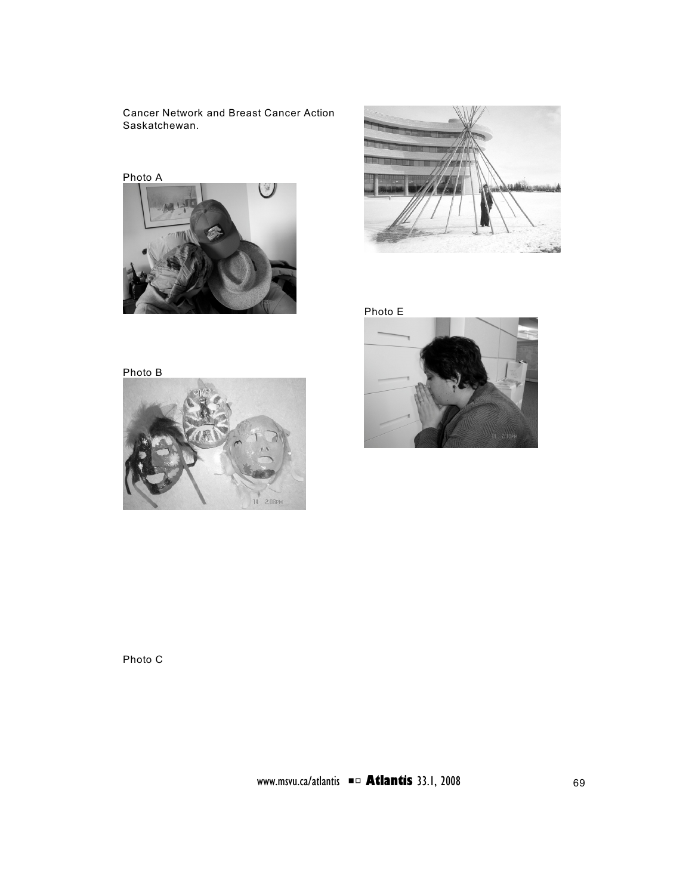Cancer Network and Breast Cancer Action Saskatchewan.





Photo E







Photo C

www.msvu.ca/atlantis **■□ Atlantis** 33.1, 2008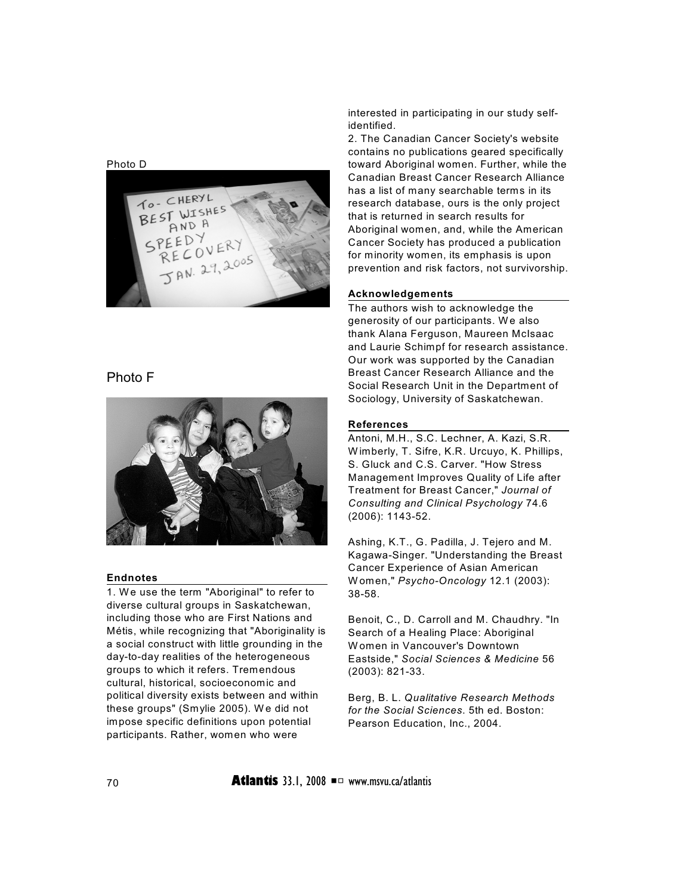Photo D



## Photo F



## **Endnotes**

1. We use the term "Aboriginal" to refer to diverse cultural groups in Saskatchewan, including those who are First Nations and Métis, while recognizing that "Aboriginality is a social construct with little grounding in the day-to-day realities of the heterogeneous groups to which it refers. Tremendous cultural, historical, socioeconomic and political diversity exists between and within these groups" (Smylie 2005). We did not impose specific definitions upon potential participants. Rather, women who were

interested in participating in our study selfidentified.

2. The Canadian Cancer Society's website contains no publications geared specifically toward Aboriginal women. Further, while the Canadian Breast Cancer Research Alliance has a list of many searchable terms in its research database, ours is the only project that is returned in search results for Aboriginal women, and, while the American Cancer Society has produced a publication for minority women, its emphasis is upon prevention and risk factors, not survivorship.

#### **Acknowledgements**

The authors wish to acknowledge the generosity of our participants. W e also thank Alana Ferguson, Maureen McIsaac and Laurie Schimpf for research assistance. Our work was supported by the Canadian Breast Cancer Research Alliance and the Social Research Unit in the Department of Sociology, University of Saskatchewan.

## **References**

Antoni, M.H., S.C. Lechner, A. Kazi, S.R. W imberly, T. Sifre, K.R. Urcuyo, K. Phillips, S. Gluck and C.S. Carver. "How Stress Management Improves Quality of Life after Treatment for Breast Cancer," *Journal of Consulting and Clinical Psychology* 74.6 (2006): 1143-52.

Ashing, K.T., G. Padilla, J. Tejero and M. Kagawa-Singer. "Understanding the Breast Cancer Experience of Asian American W omen," *Psycho-Oncology* 12.1 (2003): 38-58.

Benoit, C., D. Carroll and M. Chaudhry. "In Search of a Healing Place: Aboriginal W omen in Vancouver's Downtown Eastside," *Social Sciences & Medicine* 56 (2003): 821-33.

Berg, B. L. *Qualitative Research Methods for the Social Sciences*. 5th ed. Boston: Pearson Education, Inc., 2004.

 $70$  **Atlantis** 33.1, 2008  $\blacksquare$  www.msvu.ca/atlantis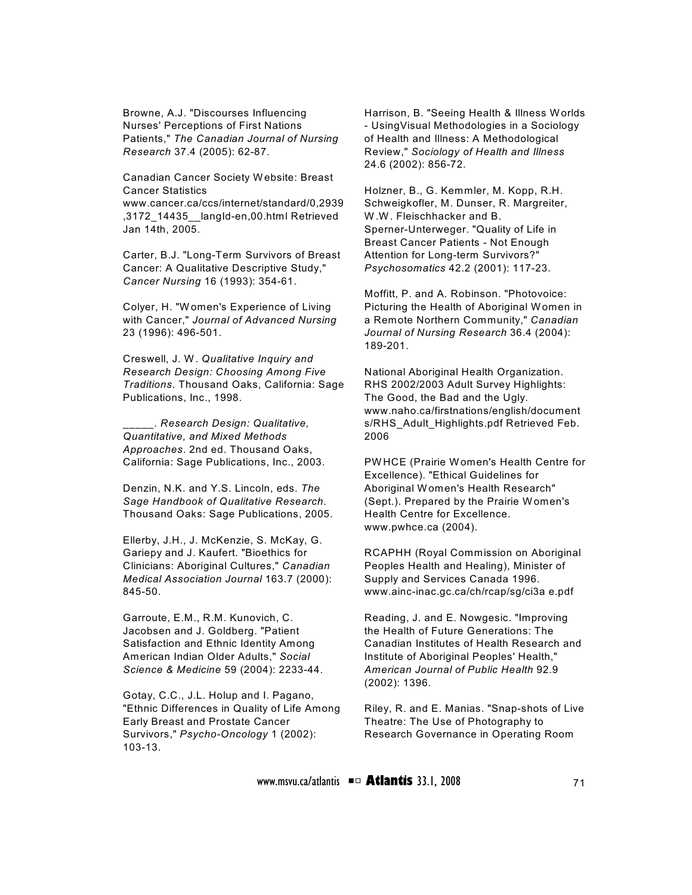Browne, A.J. "Discourses Influencing Nurses' Perceptions of First Nations Patients," *The Canadian Journal of Nursing Research* 37.4 (2005): 62-87.

Canadian Cancer Society W ebsite: Breast Cancer Statistics

www.cancer.ca/ccs/internet/standard/0,2939 ,3172\_14435\_\_langId-en,00.html Retrieved Jan 14th, 2005.

Carter, B.J. "Long-Term Survivors of Breast Cancer: A Qualitative Descriptive Study," *Cancer Nursing* 16 (1993): 354-61.

Colyer, H. "W omen's Experience of Living with Cancer," *Journal of Advanced Nursing* 23 (1996): 496-501.

Creswell, J. W. *Qualitative Inquiry and Research Design: Choosing Among Five Traditions*. Thousand Oaks, California: Sage Publications, Inc., 1998.

\_\_\_\_\_. *Research Design: Qualitative, Quantitative, and Mixed Methods Approaches*. 2nd ed. Thousand Oaks, California: Sage Publications, Inc., 2003.

Denzin, N.K. and Y.S. Lincoln, eds. *The Sage Handbook of Qualitative Research*. Thousand Oaks: Sage Publications, 2005.

Ellerby, J.H., J. McKenzie, S. McKay, G. Gariepy and J. Kaufert. "Bioethics for Clinicians: Aboriginal Cultures," *Canadian Medical Association Journal* 163.7 (2000): 845-50.

Garroute, E.M., R.M. Kunovich, C. Jacobsen and J. Goldberg. "Patient Satisfaction and Ethnic Identity Among American Indian Older Adults," *Social Science & Medicine* 59 (2004): 2233-44.

Gotay, C.C., J.L. Holup and I. Pagano, "Ethnic Differences in Quality of Life Among Early Breast and Prostate Cancer Survivors," *Psycho-Oncology* 1 (2002): 103-13.

Harrison, B. "Seeing Health & Illness Worlds - UsingVisual Methodologies in a Sociology of Health and Illness: A Methodological Review," *Sociology of Health and Illness* 24.6 (2002): 856-72.

Holzner, B., G. Kemmler, M. Kopp, R.H. Schweigkofler, M. Dunser, R. Margreiter, W .W . Fleischhacker and B. Sperner-Unterweger. "Quality of Life in Breast Cancer Patients - Not Enough Attention for Long-term Survivors?" *Psychosomatics* 42.2 (2001): 117-23.

Moffitt, P. and A. Robinson. "Photovoice: Picturing the Health of Aboriginal Women in a Remote Northern Community," *Canadian Journal of Nursing Research* 36.4 (2004): 189-201.

National Aboriginal Health Organization. RHS 2002/2003 Adult Survey Highlights: The Good, the Bad and the Ugly. www.naho.ca/firstnations/english/document s/RHS\_Adult\_Highlights.pdf Retrieved Feb. 2006

PW HCE (Prairie Women's Health Centre for Excellence). "Ethical Guidelines for Aboriginal W omen's Health Research" (Sept.). Prepared by the Prairie W omen's Health Centre for Excellence. www.pwhce.ca (2004).

RCAPHH (Royal Commission on Aboriginal Peoples Health and Healing), Minister of Supply and Services Canada 1996. www.ainc-inac.gc.ca/ch/rcap/sg/ci3a e.pdf

Reading, J. and E. Nowgesic. "Improving the Health of Future Generations: The Canadian Institutes of Health Research and Institute of Aboriginal Peoples' Health," *American Journal of Public Health* 92.9 (2002): 1396.

Riley, R. and E. Manias. "Snap-shots of Live Theatre: The Use of Photography to Research Governance in Operating Room

www.msvu.ca/atlantis **■□ Atlantis** 33.1, 2008